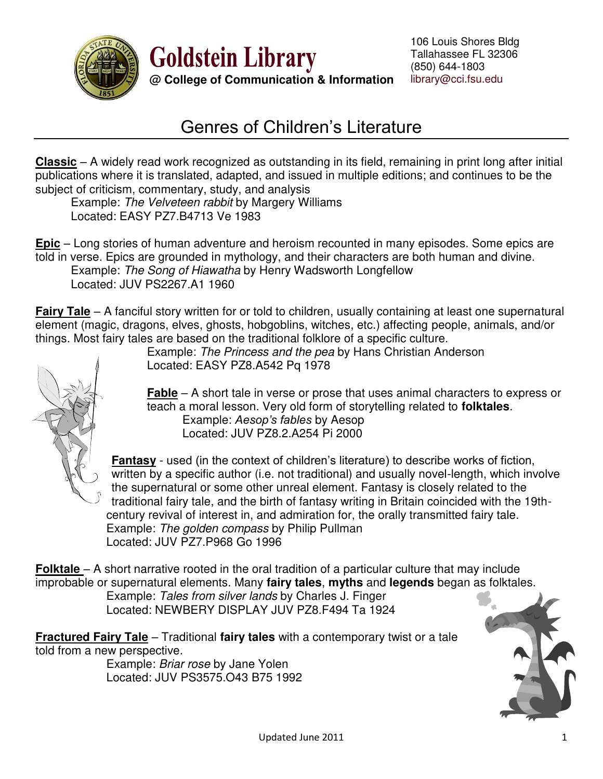

**Goldstein Library @ College of Communication & Information**

## Genres of Children's Literature

**Classic** – A widely read work recognized as outstanding in its field, remaining in print long after initial publications where it is translated, adapted, and issued in multiple editions; and continues to be the subject of criticism, commentary, study, and analysis

 Example: *The Velveteen rabbit* by Margery Williams Located: EASY PZ7.B4713 Ve 1983

**Epic** – Long stories of human adventure and heroism recounted in many episodes. Some epics are told in verse. Epics are grounded in mythology, and their characters are both human and divine. Example: *The Song of Hiawatha* by Henry Wadsworth Longfellow Located: JUV PS2267.A1 1960

**Fairy Tale** – A fanciful story written for or told to children, usually containing at least one supernatural element (magic, dragons, elves, ghosts, hobgoblins, witches, etc.) affecting people, animals, and/or things. Most fairy tales are based on the traditional folklore of a specific culture.



Example: *The Princess and the pea* by Hans Christian Anderson Located: EASY PZ8.A542 Pq 1978

**Fable** – A short tale in verse or prose that uses animal characters to express or teach a moral lesson. Very old form of storytelling related to **folktales**. Example: *Aesop's fables* by Aesop Located: JUV PZ8.2.A254 Pi 2000

**Fantasy** - used (in the context of children's literature) to describe works of fiction, written by a specific author (i.e. not traditional) and usually novel-length, which involve the supernatural or some other unreal element. Fantasy is closely related to the traditional fairy tale, and the birth of fantasy writing in Britain coincided with the 19th century revival of interest in, and admiration for, the orally transmitted fairy tale. Example: *The golden compass* by Philip Pullman Located: JUV PZ7.P968 Go 1996

**Folktale** – A short narrative rooted in the oral tradition of a particular culture that may include improbable or supernatural elements. Many **fairy tales**, **myths** and **legends** began as folktales.

Example: *Tales from silver lands* by Charles J. Finger Located: NEWBERY DISPLAY JUV PZ8.F494 Ta 1924

**Fractured Fairy Tale** – Traditional **fairy tales** with a contemporary twist or a tale told from a new perspective.

Example: *Briar rose* by Jane Yolen Located: JUV PS3575.O43 B75 1992